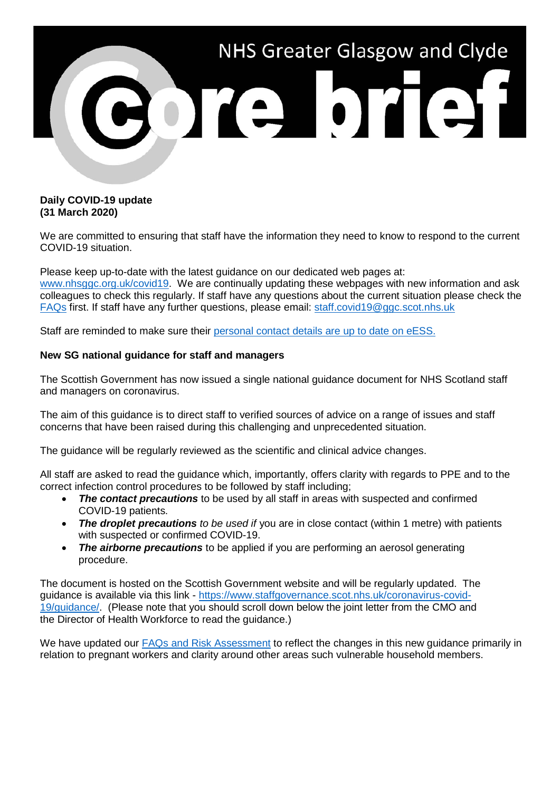

## **Daily COVID-19 update (31 March 2020)**

We are committed to ensuring that staff have the information they need to know to respond to the current COVID-19 situation.

Please keep up-to-date with the latest guidance on our dedicated web pages at: [www.nhsggc.org.uk/covid19.](http://www.nhsggc.org.uk/covid19) We are continually updating these webpages with new information and ask colleagues to check this regularly. If staff have any questions about the current situation please check the [FAQs](https://www.nhsggc.org.uk/your-health/health-issues/covid-19-coronavirus/for-nhsggc-staff/faqs/) first. If staff have any further questions, please email: [staff.covid19@ggc.scot.nhs.uk](mailto:staff.covid19@ggc.scot.nhs.uk)

Staff are reminded to make sure their [personal contact details are up to date on eESS.](https://www.eess.nhs.scot/ess/)

## **New SG national guidance for staff and managers**

The Scottish Government has now issued a single national guidance document for NHS Scotland staff and managers on coronavirus.

The aim of this guidance is to direct staff to verified sources of advice on a range of issues and staff concerns that have been raised during this challenging and unprecedented situation.

The guidance will be regularly reviewed as the scientific and clinical advice changes.

All staff are asked to read the guidance which, importantly, offers clarity with regards to PPE and to the correct infection control procedures to be followed by staff including;

- **The contact precautions** to be used by all staff in areas with suspected and confirmed COVID-19 patients.
- *The droplet precautions to be used if* you are in close contact (within 1 metre) with patients with suspected or confirmed COVID-19.
- *The airborne precautions* to be applied if you are performing an aerosol generating procedure.

The document is hosted on the Scottish Government website and will be regularly updated. The guidance is available via this link - [https://www.staffgovernance.scot.nhs.uk/coronavirus-covid-](https://www.staffgovernance.scot.nhs.uk/coronavirus-covid-19/guidance/)[19/guidance/.](https://www.staffgovernance.scot.nhs.uk/coronavirus-covid-19/guidance/) (Please note that you should scroll down below the joint letter from the CMO and the Director of Health Workforce to read the guidance.)

We have updated our [FAQs and Risk Assessment](http://www.nhsggc.org.uk/covid19) to reflect the changes in this new quidance primarily in relation to pregnant workers and clarity around other areas such vulnerable household members.